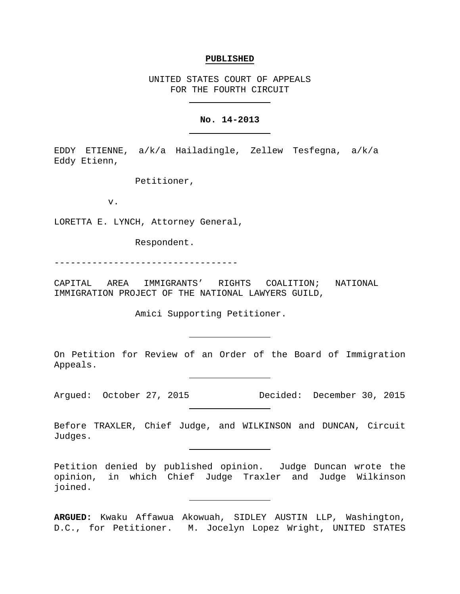#### **PUBLISHED**

UNITED STATES COURT OF APPEALS FOR THE FOURTH CIRCUIT

## **No. 14-2013**

EDDY ETIENNE, a/k/a Hailadingle, Zellew Tesfegna, a/k/a Eddy Etienn,

Petitioner,

v.

LORETTA E. LYNCH, Attorney General,

Respondent.

----------------------------------

CAPITAL AREA IMMIGRANTS' RIGHTS COALITION; NATIONAL IMMIGRATION PROJECT OF THE NATIONAL LAWYERS GUILD,

Amici Supporting Petitioner.

On Petition for Review of an Order of the Board of Immigration Appeals.

Argued: October 27, 2015 Decided: December 30, 2015

Before TRAXLER, Chief Judge, and WILKINSON and DUNCAN, Circuit Judges.

Petition denied by published opinion. Judge Duncan wrote the opinion, in which Chief Judge Traxler and Judge Wilkinson joined.

**ARGUED:** Kwaku Affawua Akowuah, SIDLEY AUSTIN LLP, Washington, D.C., for Petitioner. M. Jocelyn Lopez Wright, UNITED STATES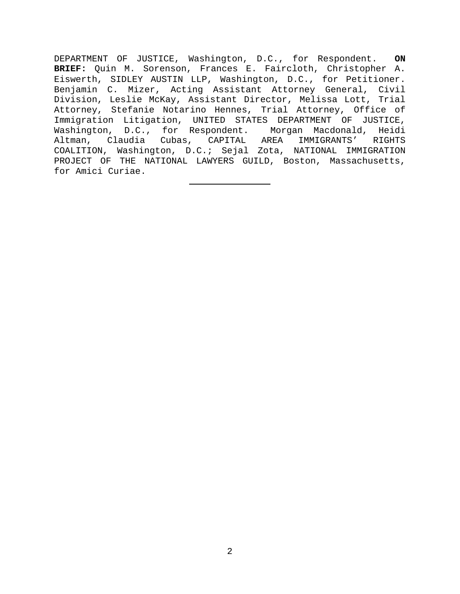DEPARTMENT OF JUSTICE, Washington, D.C., for Respondent. **ON BRIEF:** Quin M. Sorenson, Frances E. Faircloth, Christopher A. Eiswerth, SIDLEY AUSTIN LLP, Washington, D.C., for Petitioner. Benjamin C. Mizer, Acting Assistant Attorney General, Civil Division, Leslie McKay, Assistant Director, Melissa Lott, Trial Attorney, Stefanie Notarino Hennes, Trial Attorney, Office of Immigration Litigation, UNITED STATES DEPARTMENT OF JUSTICE, Washington, D.C., for Respondent. Morgan Macdonald, Heidi Altman, Claudia Cubas, CAPITAL AREA IMMIGRANTS' RIGHTS COALITION, Washington, D.C.; Sejal Zota, NATIONAL IMMIGRATION PROJECT OF THE NATIONAL LAWYERS GUILD, Boston, Massachusetts, for Amici Curiae.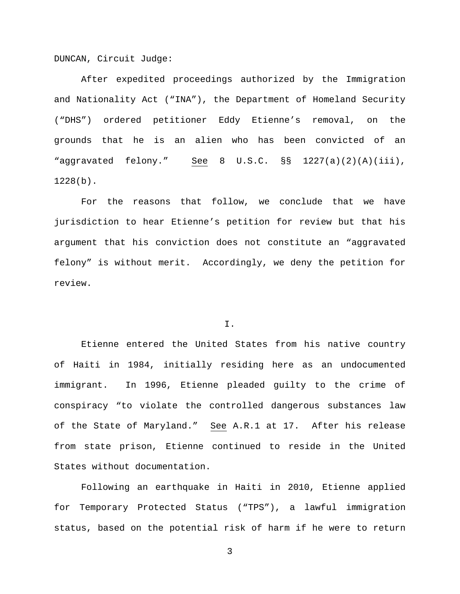DUNCAN, Circuit Judge:

After expedited proceedings authorized by the Immigration and Nationality Act ("INA"), the Department of Homeland Security ("DHS") ordered petitioner Eddy Etienne's removal, on the grounds that he is an alien who has been convicted of an "aggravated felony." See 8 U.S.C. §§ 1227(a)(2)(A)(iii), 1228(b).

For the reasons that follow, we conclude that we have jurisdiction to hear Etienne's petition for review but that his argument that his conviction does not constitute an "aggravated felony" is without merit. Accordingly, we deny the petition for review.

I.

Etienne entered the United States from his native country of Haiti in 1984, initially residing here as an undocumented immigrant. In 1996, Etienne pleaded guilty to the crime of conspiracy "to violate the controlled dangerous substances law of the State of Maryland." See A.R.1 at 17. After his release from state prison, Etienne continued to reside in the United States without documentation.

Following an earthquake in Haiti in 2010, Etienne applied for Temporary Protected Status ("TPS"), a lawful immigration status, based on the potential risk of harm if he were to return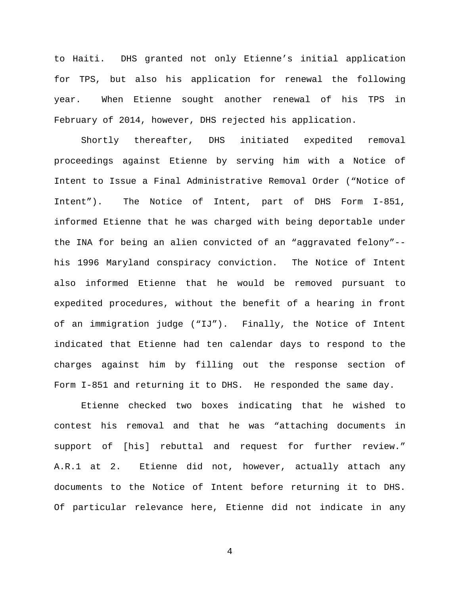to Haiti. DHS granted not only Etienne's initial application for TPS, but also his application for renewal the following year. When Etienne sought another renewal of his TPS in February of 2014, however, DHS rejected his application.

Shortly thereafter, DHS initiated expedited removal proceedings against Etienne by serving him with a Notice of Intent to Issue a Final Administrative Removal Order ("Notice of Intent"). The Notice of Intent, part of DHS Form I-851, informed Etienne that he was charged with being deportable under the INA for being an alien convicted of an "aggravated felony"- his 1996 Maryland conspiracy conviction. The Notice of Intent also informed Etienne that he would be removed pursuant to expedited procedures, without the benefit of a hearing in front of an immigration judge ("IJ"). Finally, the Notice of Intent indicated that Etienne had ten calendar days to respond to the charges against him by filling out the response section of Form I-851 and returning it to DHS. He responded the same day.

Etienne checked two boxes indicating that he wished to contest his removal and that he was "attaching documents in support of [his] rebuttal and request for further review." A.R.1 at 2. Etienne did not, however, actually attach any documents to the Notice of Intent before returning it to DHS. Of particular relevance here, Etienne did not indicate in any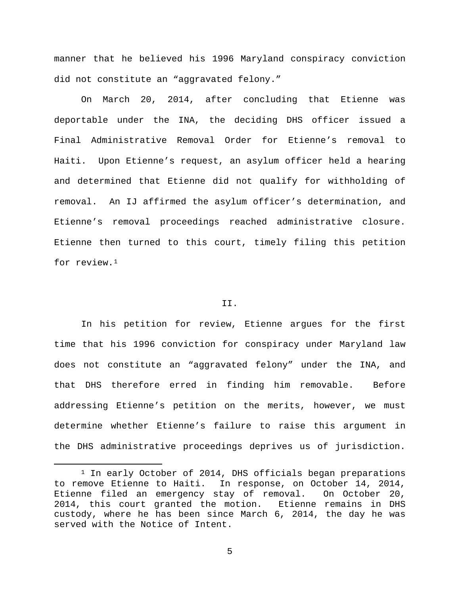manner that he believed his 1996 Maryland conspiracy conviction did not constitute an "aggravated felony."

On March 20, 2014, after concluding that Etienne was deportable under the INA, the deciding DHS officer issued a Final Administrative Removal Order for Etienne's removal to Haiti. Upon Etienne's request, an asylum officer held a hearing and determined that Etienne did not qualify for withholding of removal. An IJ affirmed the asylum officer's determination, and Etienne's removal proceedings reached administrative closure. Etienne then turned to this court, timely filing this petition for review.<sup>[1](#page-4-0)</sup>

#### II.

In his petition for review, Etienne argues for the first time that his 1996 conviction for conspiracy under Maryland law does not constitute an "aggravated felony" under the INA, and that DHS therefore erred in finding him removable. Before addressing Etienne's petition on the merits, however, we must determine whether Etienne's failure to raise this argument in the DHS administrative proceedings deprives us of jurisdiction.

<span id="page-4-0"></span><sup>&</sup>lt;sup>1</sup> In early October of 2014, DHS officials began preparations to remove Etienne to Haiti. In response, on October 14, 2014, Etienne filed an emergency stay of removal. On October 20, 2014, this court granted the motion. Etienne remains in DHS custody, where he has been since March 6, 2014, the day he was served with the Notice of Intent.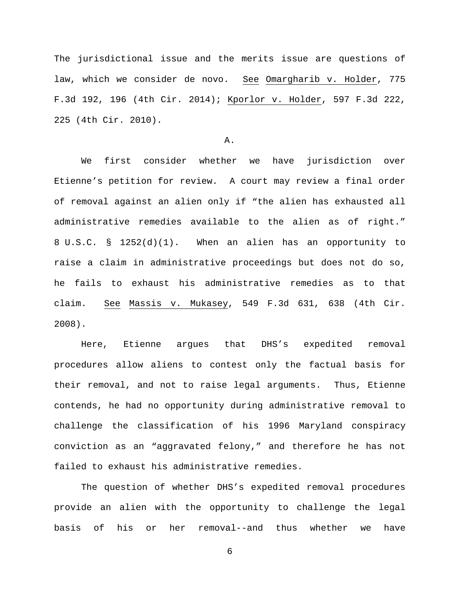The jurisdictional issue and the merits issue are questions of law, which we consider de novo. See Omargharib v. Holder, 775 F.3d 192, 196 (4th Cir. 2014); Kporlor v. Holder, 597 F.3d 222, 225 (4th Cir. 2010).

#### A.

We first consider whether we have jurisdiction over Etienne's petition for review. A court may review a final order of removal against an alien only if "the alien has exhausted all administrative remedies available to the alien as of right." 8 U.S.C. § 1252(d)(1). When an alien has an opportunity to raise a claim in administrative proceedings but does not do so, he fails to exhaust his administrative remedies as to that claim. See Massis v. Mukasey, 549 F.3d 631, 638 (4th Cir. 2008).

Here, Etienne argues that DHS's expedited removal procedures allow aliens to contest only the factual basis for their removal, and not to raise legal arguments. Thus, Etienne contends, he had no opportunity during administrative removal to challenge the classification of his 1996 Maryland conspiracy conviction as an "aggravated felony," and therefore he has not failed to exhaust his administrative remedies.

The question of whether DHS's expedited removal procedures provide an alien with the opportunity to challenge the legal basis of his or her removal--and thus whether we have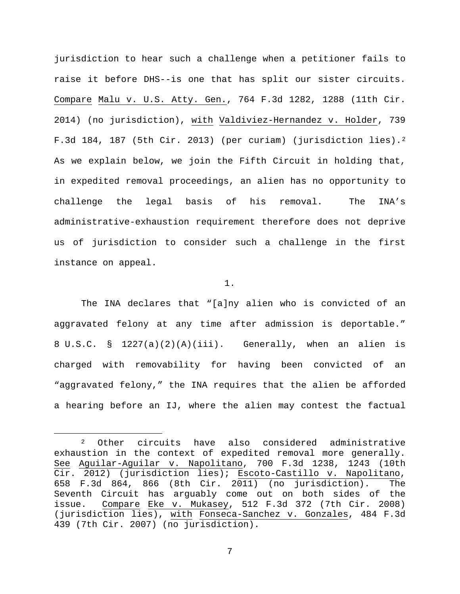jurisdiction to hear such a challenge when a petitioner fails to raise it before DHS--is one that has split our sister circuits. Compare Malu v. U.S. Atty. Gen., 764 F.3d 1282, 1288 (11th Cir. 2014) (no jurisdiction), with Valdiviez-Hernandez v. Holder, 739 F.3d 184, 187 (5th Cir. 2013) (per curiam) (jurisdiction lies).[2](#page-6-0) As we explain below, we join the Fifth Circuit in holding that, in expedited removal proceedings, an alien has no opportunity to challenge the legal basis of his removal. The INA's administrative-exhaustion requirement therefore does not deprive us of jurisdiction to consider such a challenge in the first instance on appeal.

# 1.

The INA declares that "[a]ny alien who is convicted of an aggravated felony at any time after admission is deportable." 8 U.S.C. § 1227(a)(2)(A)(iii). Generally, when an alien is charged with removability for having been convicted of an "aggravated felony," the INA requires that the alien be afforded a hearing before an IJ, where the alien may contest the factual

<span id="page-6-0"></span> <sup>2</sup> Other circuits have also considered administrative exhaustion in the context of expedited removal more generally. See Aguilar-Aguilar v. Napolitano, 700 F.3d 1238, 1243 (10th Cir. 2012) (jurisdiction lies); Escoto-Castillo v. Napolitano, 658 F.3d 864, 866 (8th Cir. 2011) (no jurisdiction). The Seventh Circuit has arguably come out on both sides of the issue. Compare Eke v. Mukasey, 512 F.3d 372 (7th Cir. 2008) (jurisdiction lies), with Fonseca-Sanchez v. Gonzales, 484 F.3d 439 (7th Cir. 2007) (no jurisdiction).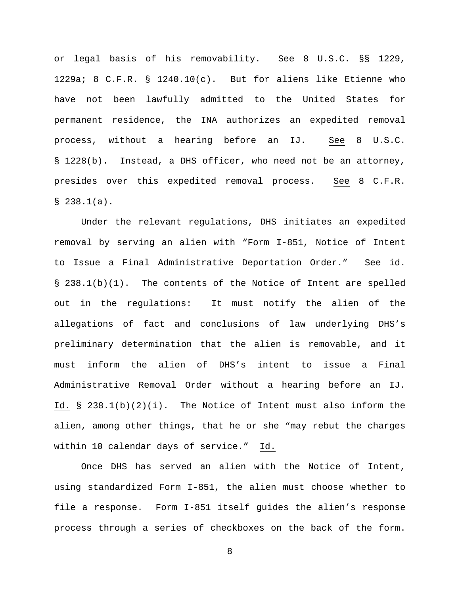or legal basis of his removability. See 8 U.S.C. §§ 1229, 1229a; 8 C.F.R. § 1240.10(c). But for aliens like Etienne who have not been lawfully admitted to the United States for permanent residence, the INA authorizes an expedited removal process, without a hearing before an IJ. See 8 U.S.C. § 1228(b). Instead, a DHS officer, who need not be an attorney, presides over this expedited removal process. See 8 C.F.R.  $$238.1(a).$ 

Under the relevant regulations, DHS initiates an expedited removal by serving an alien with "Form I-851, Notice of Intent to Issue a Final Administrative Deportation Order." See id. § 238.1(b)(1). The contents of the Notice of Intent are spelled out in the regulations: It must notify the alien of the allegations of fact and conclusions of law underlying DHS's preliminary determination that the alien is removable, and it must inform the alien of DHS's intent to issue a Final Administrative Removal Order without a hearing before an IJ. Id.  $\S$  238.1(b)(2)(i). The Notice of Intent must also inform the alien, among other things, that he or she "may rebut the charges within 10 calendar days of service." Id.

Once DHS has served an alien with the Notice of Intent, using standardized Form I-851, the alien must choose whether to file a response. Form I-851 itself guides the alien's response process through a series of checkboxes on the back of the form.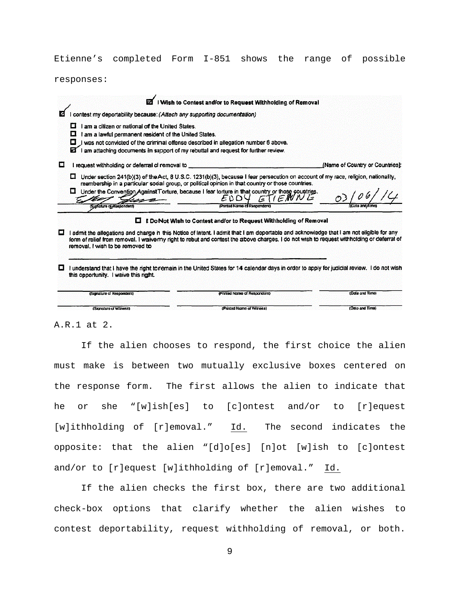Etienne's completed Form I-851 shows the range of possible

responses:

|   |                                                                                                                                                                                                                                                                                                                                                           | Wish to Contest and/or to Request Withholding of Removal                                                                                                                                                                                                                                                                                                                                      |                                 |
|---|-----------------------------------------------------------------------------------------------------------------------------------------------------------------------------------------------------------------------------------------------------------------------------------------------------------------------------------------------------------|-----------------------------------------------------------------------------------------------------------------------------------------------------------------------------------------------------------------------------------------------------------------------------------------------------------------------------------------------------------------------------------------------|---------------------------------|
|   | I contest my deportability because: (Attach any supporting documentation)                                                                                                                                                                                                                                                                                 |                                                                                                                                                                                                                                                                                                                                                                                               |                                 |
|   | I am a citizen or national of the United States.<br>$\mathcal{L}_{\mathcal{A}}$<br>I am a lawful permanent resident of the United States.<br>I was not convicted of the criminal offense described in allegation number 6 above.<br>$\mathcal{L}_{\mathrm{c}}$<br>I am attaching documents in support of my rebuttal and request for further review.<br>Ø |                                                                                                                                                                                                                                                                                                                                                                                               |                                 |
| п | I request withholding or deferral of removal to                                                                                                                                                                                                                                                                                                           |                                                                                                                                                                                                                                                                                                                                                                                               | [Name of Country or Countries]: |
|   | - 6<br>(Signature of Respondent)                                                                                                                                                                                                                                                                                                                          | Under section 241(b)(3) of the Act, 8 U.S.C. 1231(b)(3), because I fear persecution on account of my race, religion, nationality,<br>membership in a particular social group, or political opinion in that country or those countries.<br>Under the Convention Against Torture, because I fear torture in that country or those countries.<br>ENDY<br>エビートマルビ<br>(Printed Name of Respondent) |                                 |
|   | ш                                                                                                                                                                                                                                                                                                                                                         | <b>E DoNot Wish to Contest and/or to Request Withholding of Removal</b>                                                                                                                                                                                                                                                                                                                       |                                 |
|   | I admit the allegations and charge in this Notice of Intent. I admit that I am deportable and acknowledge that I am not eligible for any<br>form of relief from removal. I waive my right to rebut and contest the above charges. I do not wish to request withholding or deferral of<br>removal. I wish to be removed to                                 |                                                                                                                                                                                                                                                                                                                                                                                               |                                 |
|   | I understand that I have the right to remain in the United States for 14 calendar days in order to apply for judicial review. I do not wish<br>this opportunity. I waive this right.                                                                                                                                                                      |                                                                                                                                                                                                                                                                                                                                                                                               |                                 |
|   | (Signature of Respondent)                                                                                                                                                                                                                                                                                                                                 | (Printed Name of Respondent)                                                                                                                                                                                                                                                                                                                                                                  | (Date and Time)                 |
|   | (Signature of Witness)                                                                                                                                                                                                                                                                                                                                    | (Printed Name of Witness)                                                                                                                                                                                                                                                                                                                                                                     | (Date and Time)                 |

A.R.1 at 2.

If the alien chooses to respond, the first choice the alien must make is between two mutually exclusive boxes centered on the response form. The first allows the alien to indicate that he or she "[w]ish[es] to [c]ontest and/or to [r]equest [w]ithholding of [r]emoval." Id. The second indicates the opposite: that the alien "[d]o[es] [n]ot [w]ish to [c]ontest and/or to [r]equest [w]ithholding of [r]emoval." Id.

If the alien checks the first box, there are two additional check-box options that clarify whether the alien wishes to contest deportability, request withholding of removal, or both.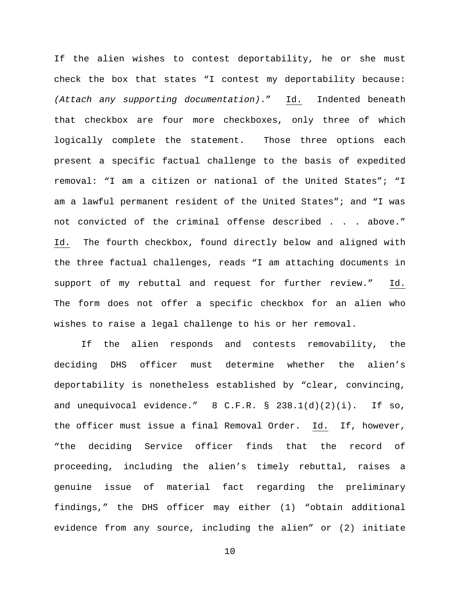If the alien wishes to contest deportability, he or she must check the box that states "I contest my deportability because: *(Attach any supporting documentation)*." Id. Indented beneath that checkbox are four more checkboxes, only three of which logically complete the statement. Those three options each present a specific factual challenge to the basis of expedited removal: "I am a citizen or national of the United States"; "I am a lawful permanent resident of the United States"; and "I was not convicted of the criminal offense described . . . above." Id. The fourth checkbox, found directly below and aligned with the three factual challenges, reads "I am attaching documents in support of my rebuttal and request for further review." Id. The form does not offer a specific checkbox for an alien who wishes to raise a legal challenge to his or her removal.

If the alien responds and contests removability, the deciding DHS officer must determine whether the alien's deportability is nonetheless established by "clear, convincing, and unequivocal evidence."  $8$  C.F.R.  $\S$  238.1(d)(2)(i). If so, the officer must issue a final Removal Order. Id. If, however, "the deciding Service officer finds that the record of proceeding, including the alien's timely rebuttal, raises a genuine issue of material fact regarding the preliminary findings," the DHS officer may either (1) "obtain additional evidence from any source, including the alien" or (2) initiate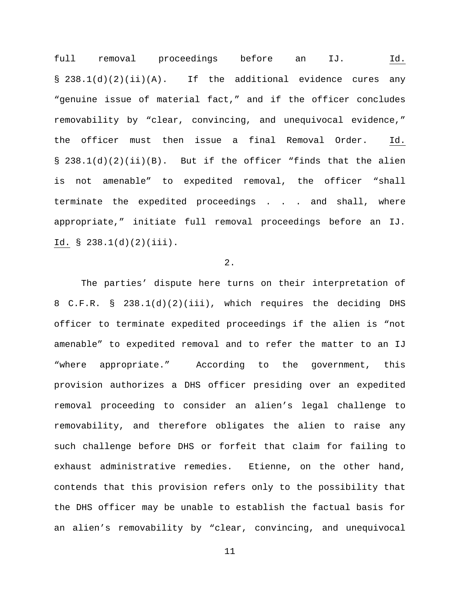full removal proceedings before an IJ. Id. §  $238.1(d)(2)(ii)(A)$ . If the additional evidence cures any "genuine issue of material fact," and if the officer concludes removability by "clear, convincing, and unequivocal evidence," the officer must then issue a final Removal Order. Id. § 238.1(d)(2)(ii)(B). But if the officer "finds that the alien is not amenable" to expedited removal, the officer "shall terminate the expedited proceedings . . . and shall, where appropriate," initiate full removal proceedings before an IJ. Id. § 238.1(d)(2)(iii).

# 2.

The parties' dispute here turns on their interpretation of 8 C.F.R. § 238.1(d)(2)(iii), which requires the deciding DHS officer to terminate expedited proceedings if the alien is "not amenable" to expedited removal and to refer the matter to an IJ "where appropriate." According to the government, this provision authorizes a DHS officer presiding over an expedited removal proceeding to consider an alien's legal challenge to removability, and therefore obligates the alien to raise any such challenge before DHS or forfeit that claim for failing to exhaust administrative remedies. Etienne, on the other hand, contends that this provision refers only to the possibility that the DHS officer may be unable to establish the factual basis for an alien's removability by "clear, convincing, and unequivocal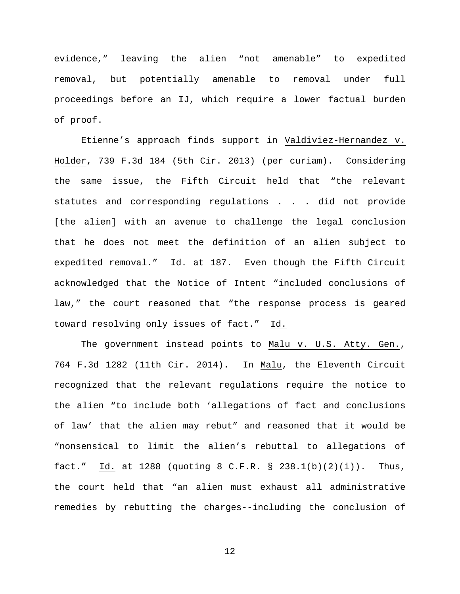evidence," leaving the alien "not amenable" to expedited removal, but potentially amenable to removal under full proceedings before an IJ, which require a lower factual burden of proof.

Etienne's approach finds support in Valdiviez-Hernandez v. Holder, 739 F.3d 184 (5th Cir. 2013) (per curiam). Considering the same issue, the Fifth Circuit held that "the relevant statutes and corresponding regulations . . . did not provide [the alien] with an avenue to challenge the legal conclusion that he does not meet the definition of an alien subject to expedited removal." Id. at 187. Even though the Fifth Circuit acknowledged that the Notice of Intent "included conclusions of law," the court reasoned that "the response process is geared toward resolving only issues of fact." Id.

The government instead points to Malu v. U.S. Atty. Gen., 764 F.3d 1282 (11th Cir. 2014). In Malu, the Eleventh Circuit recognized that the relevant regulations require the notice to the alien "to include both 'allegations of fact and conclusions of law' that the alien may rebut" and reasoned that it would be "nonsensical to limit the alien's rebuttal to allegations of fact." Id. at 1288 (quoting 8 C.F.R. § 238.1(b)(2)(i)). Thus, the court held that "an alien must exhaust all administrative remedies by rebutting the charges--including the conclusion of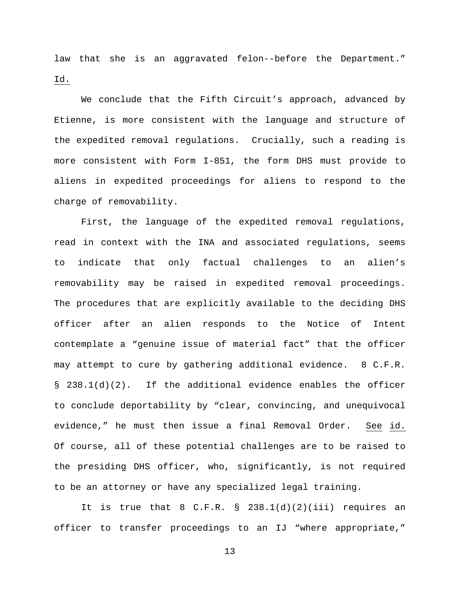law that she is an aggravated felon--before the Department." Id.

We conclude that the Fifth Circuit's approach, advanced by Etienne, is more consistent with the language and structure of the expedited removal regulations. Crucially, such a reading is more consistent with Form I-851, the form DHS must provide to aliens in expedited proceedings for aliens to respond to the charge of removability.

First, the language of the expedited removal regulations, read in context with the INA and associated regulations, seems to indicate that only factual challenges to an alien's removability may be raised in expedited removal proceedings. The procedures that are explicitly available to the deciding DHS officer after an alien responds to the Notice of Intent contemplate a "genuine issue of material fact" that the officer may attempt to cure by gathering additional evidence. 8 C.F.R. § 238.1(d)(2). If the additional evidence enables the officer to conclude deportability by "clear, convincing, and unequivocal evidence," he must then issue a final Removal Order. See id. Of course, all of these potential challenges are to be raised to the presiding DHS officer, who, significantly, is not required to be an attorney or have any specialized legal training.

It is true that  $8$  C.F.R.  $\S$  238.1(d)(2)(iii) requires an officer to transfer proceedings to an IJ "where appropriate,"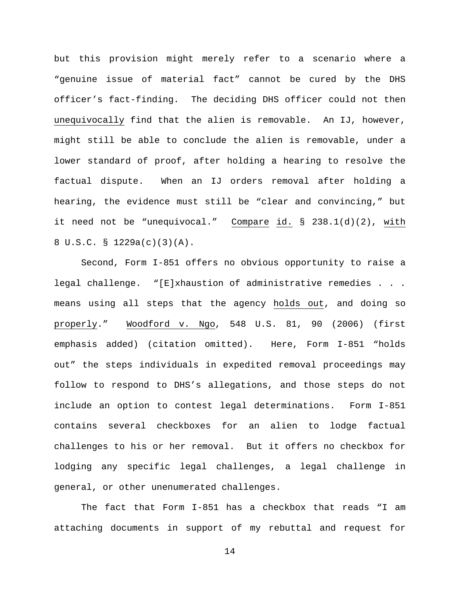but this provision might merely refer to a scenario where a "genuine issue of material fact" cannot be cured by the DHS officer's fact-finding. The deciding DHS officer could not then unequivocally find that the alien is removable. An IJ, however, might still be able to conclude the alien is removable, under a lower standard of proof, after holding a hearing to resolve the factual dispute. When an IJ orders removal after holding a hearing, the evidence must still be "clear and convincing," but it need not be "unequivocal." Compare id. § 238.1(d)(2), with 8 U.S.C. § 1229a(c)(3)(A).

Second, Form I-851 offers no obvious opportunity to raise a legal challenge. "[E]xhaustion of administrative remedies . . . means using all steps that the agency holds out, and doing so properly." Woodford v. Ngo, 548 U.S. 81, 90 (2006) (first emphasis added) (citation omitted). Here, Form I-851 "holds out" the steps individuals in expedited removal proceedings may follow to respond to DHS's allegations, and those steps do not include an option to contest legal determinations. Form I-851 contains several checkboxes for an alien to lodge factual challenges to his or her removal. But it offers no checkbox for lodging any specific legal challenges, a legal challenge in general, or other unenumerated challenges.

The fact that Form I-851 has a checkbox that reads "I am attaching documents in support of my rebuttal and request for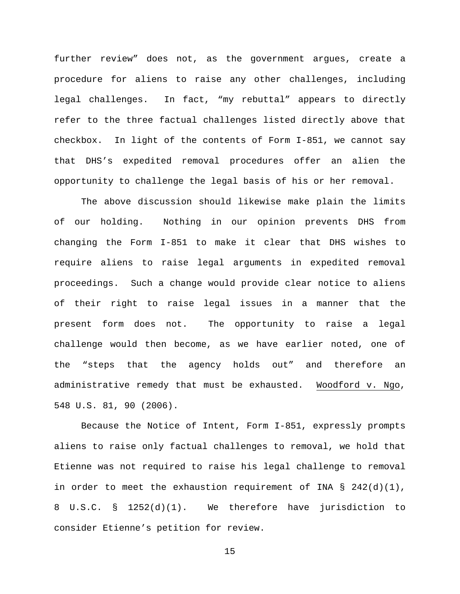further review" does not, as the government argues, create a procedure for aliens to raise any other challenges, including legal challenges. In fact, "my rebuttal" appears to directly refer to the three factual challenges listed directly above that checkbox. In light of the contents of Form I-851, we cannot say that DHS's expedited removal procedures offer an alien the opportunity to challenge the legal basis of his or her removal.

The above discussion should likewise make plain the limits of our holding. Nothing in our opinion prevents DHS from changing the Form I-851 to make it clear that DHS wishes to require aliens to raise legal arguments in expedited removal proceedings. Such a change would provide clear notice to aliens of their right to raise legal issues in a manner that the present form does not. The opportunity to raise a legal challenge would then become, as we have earlier noted, one of the "steps that the agency holds out" and therefore an administrative remedy that must be exhausted. Woodford v. Ngo, 548 U.S. 81, 90 (2006).

Because the Notice of Intent, Form I-851, expressly prompts aliens to raise only factual challenges to removal, we hold that Etienne was not required to raise his legal challenge to removal in order to meet the exhaustion requirement of INA §  $242(d)(1)$ , 8 U.S.C. § 1252(d)(1). We therefore have jurisdiction to consider Etienne's petition for review.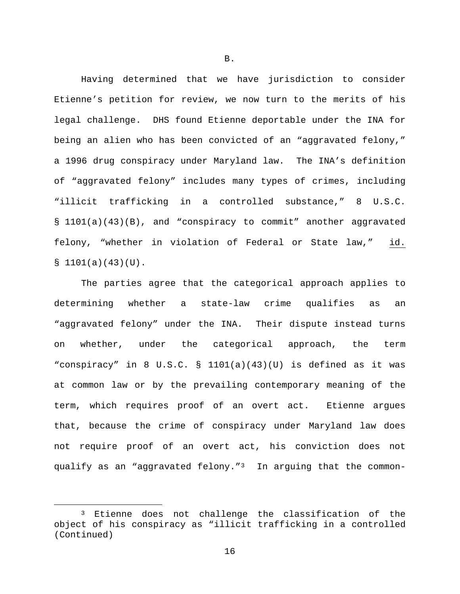Having determined that we have jurisdiction to consider Etienne's petition for review, we now turn to the merits of his legal challenge. DHS found Etienne deportable under the INA for being an alien who has been convicted of an "aggravated felony," a 1996 drug conspiracy under Maryland law. The INA's definition of "aggravated felony" includes many types of crimes, including "illicit trafficking in a controlled substance," 8 U.S.C. § 1101(a)(43)(B), and "conspiracy to commit" another aggravated felony, "whether in violation of Federal or State law," id.  $$1101(a)(43)(U)$ .

The parties agree that the categorical approach applies to determining whether a state-law crime qualifies as an "aggravated felony" under the INA. Their dispute instead turns on whether, under the categorical approach, the term "conspiracy" in 8 U.S.C. § 1101(a)(43)(U) is defined as it was at common law or by the prevailing contemporary meaning of the term, which requires proof of an overt act. Etienne argues that, because the crime of conspiracy under Maryland law does not require proof of an overt act, his conviction does not qualify as an "aggravated felony."[3](#page-15-0) In arguing that the common-

B.

<span id="page-15-0"></span><sup>&</sup>lt;sup>3</sup> Etienne does not challenge the classification of the object of his conspiracy as "illicit trafficking in a controlled (Continued)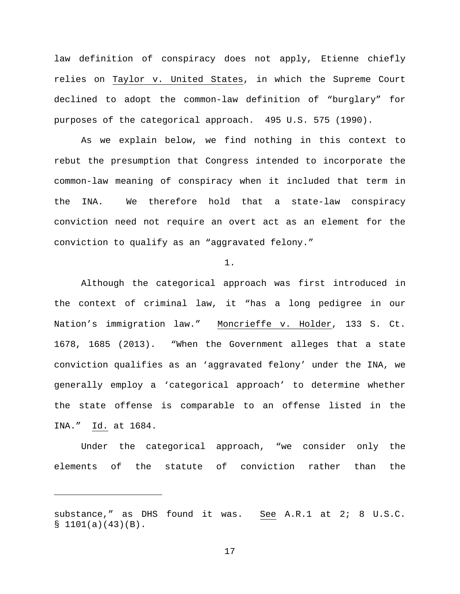law definition of conspiracy does not apply, Etienne chiefly relies on Taylor v. United States, in which the Supreme Court declined to adopt the common-law definition of "burglary" for purposes of the categorical approach. 495 U.S. 575 (1990).

As we explain below, we find nothing in this context to rebut the presumption that Congress intended to incorporate the common-law meaning of conspiracy when it included that term in the INA. We therefore hold that a state-law conspiracy conviction need not require an overt act as an element for the conviction to qualify as an "aggravated felony."

1.

Although the categorical approach was first introduced in the context of criminal law, it "has a long pedigree in our Nation's immigration law." Moncrieffe v. Holder, 133 S. Ct. 1678, 1685 (2013). "When the Government alleges that a state conviction qualifies as an 'aggravated felony' under the INA, we generally employ a 'categorical approach' to determine whether the state offense is comparable to an offense listed in the INA." Id. at 1684.

Under the categorical approach, "we consider only the elements of the statute of conviction rather than the

Ĩ.

substance," as DHS found it was. See A.R.1 at 2; 8 U.S.C.  $$1101(a)(43)(B).$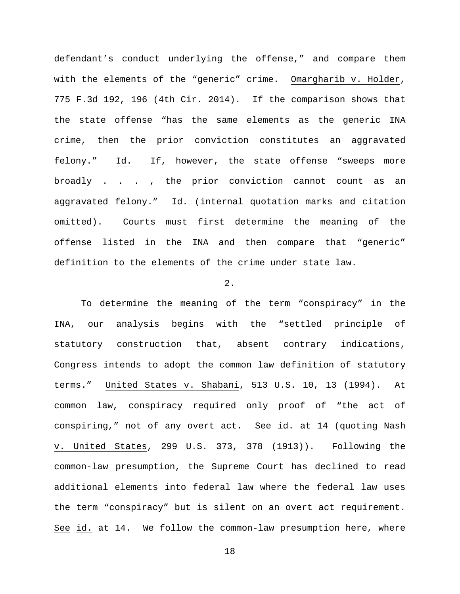defendant's conduct underlying the offense," and compare them with the elements of the "generic" crime. Omargharib v. Holder, 775 F.3d 192, 196 (4th Cir. 2014). If the comparison shows that the state offense "has the same elements as the generic INA crime, then the prior conviction constitutes an aggravated felony." Id. If, however, the state offense "sweeps more broadly . . . , the prior conviction cannot count as an aggravated felony." Id. (internal quotation marks and citation omitted). Courts must first determine the meaning of the offense listed in the INA and then compare that "generic" definition to the elements of the crime under state law.

## $2<sub>1</sub>$

To determine the meaning of the term "conspiracy" in the INA, our analysis begins with the "settled principle of statutory construction that, absent contrary indications, Congress intends to adopt the common law definition of statutory terms." United States v. Shabani, 513 U.S. 10, 13 (1994). At common law, conspiracy required only proof of "the act of conspiring," not of any overt act. See id. at 14 (quoting Nash v. United States, 299 U.S. 373, 378 (1913)). Following the common-law presumption, the Supreme Court has declined to read additional elements into federal law where the federal law uses the term "conspiracy" but is silent on an overt act requirement. See id. at 14. We follow the common-law presumption here, where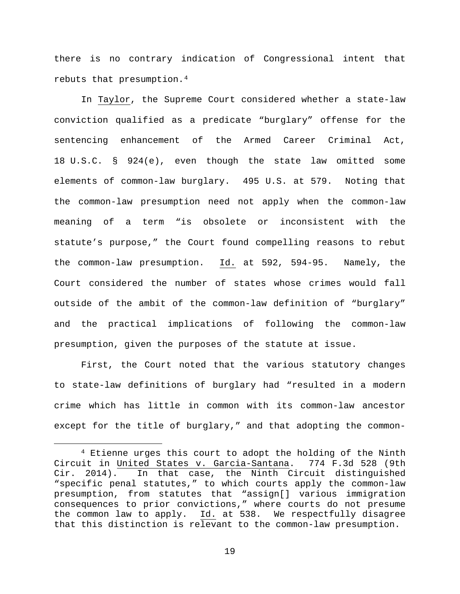there is no contrary indication of Congressional intent that rebuts that presumption.[4](#page-18-0)

In Taylor, the Supreme Court considered whether a state-law conviction qualified as a predicate "burglary" offense for the sentencing enhancement of the Armed Career Criminal Act, 18 U.S.C. § 924(e), even though the state law omitted some elements of common-law burglary. 495 U.S. at 579. Noting that the common-law presumption need not apply when the common-law meaning of a term "is obsolete or inconsistent with the statute's purpose," the Court found compelling reasons to rebut the common-law presumption. Id. at 592, 594-95. Namely, the Court considered the number of states whose crimes would fall outside of the ambit of the common-law definition of "burglary" and the practical implications of following the common-law presumption, given the purposes of the statute at issue.

First, the Court noted that the various statutory changes to state-law definitions of burglary had "resulted in a modern crime which has little in common with its common-law ancestor except for the title of burglary," and that adopting the common-

<span id="page-18-0"></span> <sup>4</sup> Etienne urges this court to adopt the holding of the Ninth Circuit in United States v. Garcia-Santana. 774 F.3d 528 (9th Cir. 2014). In that case, the Ninth Circuit distinguished "specific penal statutes," to which courts apply the common-law presumption, from statutes that "assign[] various immigration consequences to prior convictions," where courts do not presume the common law to apply. Id. at 538. We respectfully disagree that this distinction is relevant to the common-law presumption.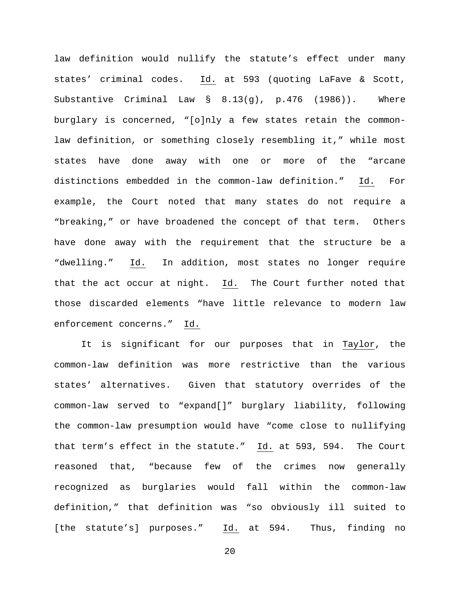law definition would nullify the statute's effect under many states' criminal codes. Id. at 593 (quoting LaFave & Scott, Substantive Criminal Law § 8.13(g), p.476 (1986)). Where burglary is concerned, "[o]nly a few states retain the commonlaw definition, or something closely resembling it," while most states have done away with one or more of the "arcane distinctions embedded in the common-law definition." Id. For example, the Court noted that many states do not require a "breaking," or have broadened the concept of that term. Others have done away with the requirement that the structure be a "dwelling." Id. In addition, most states no longer require that the act occur at night. Id. The Court further noted that those discarded elements "have little relevance to modern law enforcement concerns." Id.

It is significant for our purposes that in Taylor, the common-law definition was more restrictive than the various states' alternatives. Given that statutory overrides of the common-law served to "expand[]" burglary liability, following the common-law presumption would have "come close to nullifying that term's effect in the statute." Id. at 593, 594. The Court reasoned that, "because few of the crimes now generally recognized as burglaries would fall within the common-law definition," that definition was "so obviously ill suited to [the statute's] purposes." Id. at 594. Thus, finding no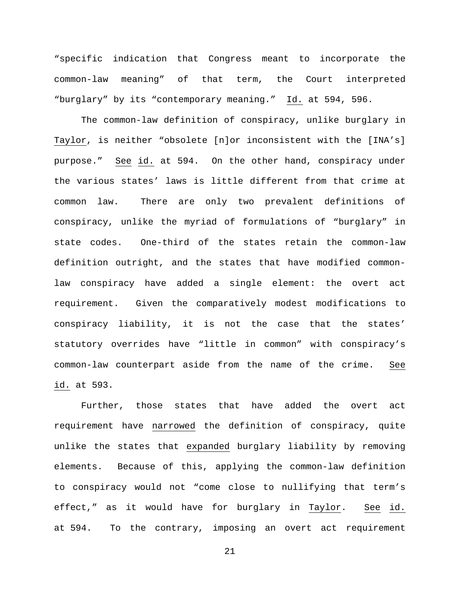"specific indication that Congress meant to incorporate the common-law meaning" of that term, the Court interpreted "burglary" by its "contemporary meaning." Id. at 594, 596.

The common-law definition of conspiracy, unlike burglary in Taylor, is neither "obsolete [n]or inconsistent with the [INA's] purpose." See id. at 594. On the other hand, conspiracy under the various states' laws is little different from that crime at common law. There are only two prevalent definitions of conspiracy, unlike the myriad of formulations of "burglary" in state codes. One-third of the states retain the common-law definition outright, and the states that have modified commonlaw conspiracy have added a single element: the overt act requirement. Given the comparatively modest modifications to conspiracy liability, it is not the case that the states' statutory overrides have "little in common" with conspiracy's common-law counterpart aside from the name of the crime. See id. at 593.

Further, those states that have added the overt act requirement have narrowed the definition of conspiracy, quite unlike the states that expanded burglary liability by removing elements. Because of this, applying the common-law definition to conspiracy would not "come close to nullifying that term's effect," as it would have for burglary in Taylor. See id. at 594. To the contrary, imposing an overt act requirement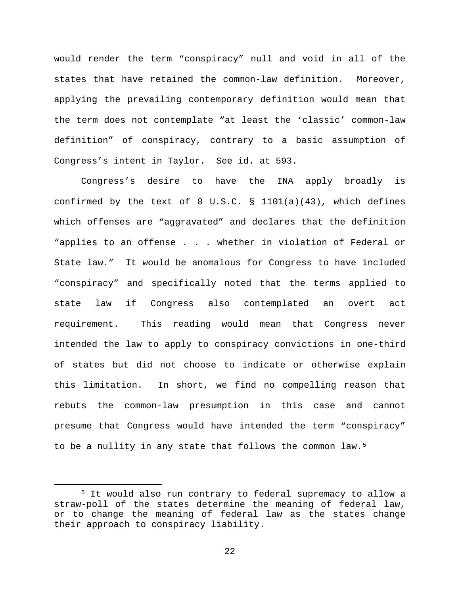would render the term "conspiracy" null and void in all of the states that have retained the common-law definition. Moreover, applying the prevailing contemporary definition would mean that the term does not contemplate "at least the 'classic' common-law definition" of conspiracy, contrary to a basic assumption of Congress's intent in Taylor. See id. at 593.

Congress's desire to have the INA apply broadly is confirmed by the text of 8 U.S.C. § 1101(a)(43), which defines which offenses are "aggravated" and declares that the definition "applies to an offense . . . whether in violation of Federal or State law." It would be anomalous for Congress to have included "conspiracy" and specifically noted that the terms applied to state law if Congress also contemplated an overt act requirement. This reading would mean that Congress never intended the law to apply to conspiracy convictions in one-third of states but did not choose to indicate or otherwise explain this limitation. In short, we find no compelling reason that rebuts the common-law presumption in this case and cannot presume that Congress would have intended the term "conspiracy" to be a nullity in any state that follows the common law.<sup>5</sup>

<span id="page-21-0"></span> <sup>5</sup> It would also run contrary to federal supremacy to allow a straw-poll of the states determine the meaning of federal law, or to change the meaning of federal law as the states change their approach to conspiracy liability.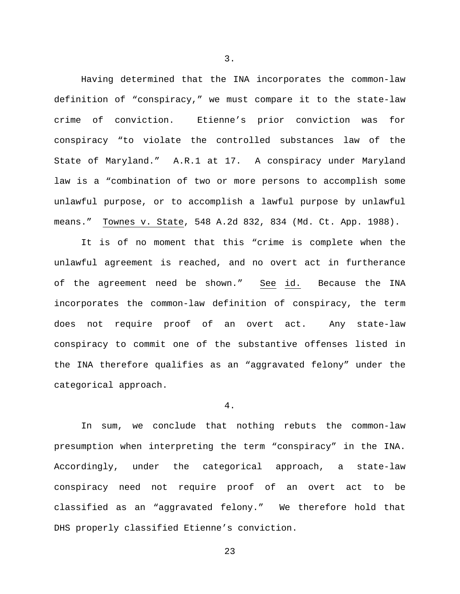Having determined that the INA incorporates the common-law definition of "conspiracy," we must compare it to the state-law crime of conviction. Etienne's prior conviction was for conspiracy "to violate the controlled substances law of the State of Maryland." A.R.1 at 17. A conspiracy under Maryland law is a "combination of two or more persons to accomplish some unlawful purpose, or to accomplish a lawful purpose by unlawful means." Townes v. State, 548 A.2d 832, 834 (Md. Ct. App. 1988).

It is of no moment that this "crime is complete when the unlawful agreement is reached, and no overt act in furtherance of the agreement need be shown." See id. Because the INA incorporates the common-law definition of conspiracy, the term does not require proof of an overt act. Any state-law conspiracy to commit one of the substantive offenses listed in the INA therefore qualifies as an "aggravated felony" under the categorical approach.

#### 4.

In sum, we conclude that nothing rebuts the common-law presumption when interpreting the term "conspiracy" in the INA. Accordingly, under the categorical approach, a state-law conspiracy need not require proof of an overt act to be classified as an "aggravated felony." We therefore hold that DHS properly classified Etienne's conviction.

3.